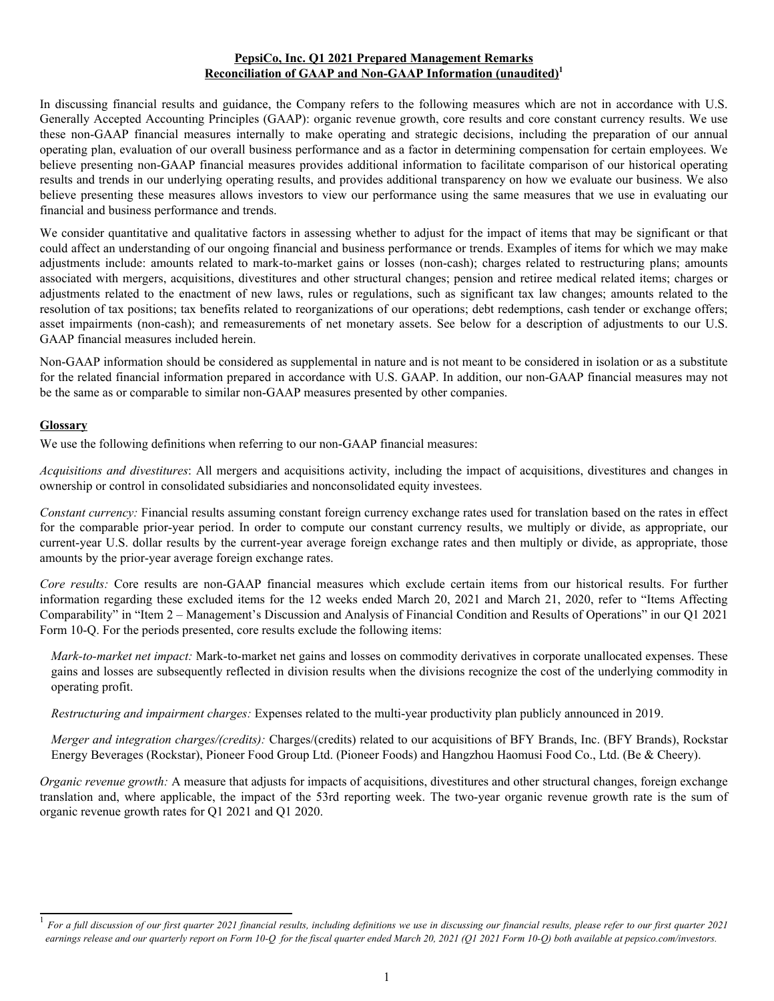### **PepsiCo, Inc. Q1 2021 Prepared Management Remarks Reconciliation of GAAP and Non-GAAP Information (unaudited)<sup>1</sup>**

In discussing financial results and guidance, the Company refers to the following measures which are not in accordance with U.S. Generally Accepted Accounting Principles (GAAP): organic revenue growth, core results and core constant currency results. We use these non-GAAP financial measures internally to make operating and strategic decisions, including the preparation of our annual operating plan, evaluation of our overall business performance and as a factor in determining compensation for certain employees. We believe presenting non-GAAP financial measures provides additional information to facilitate comparison of our historical operating results and trends in our underlying operating results, and provides additional transparency on how we evaluate our business. We also believe presenting these measures allows investors to view our performance using the same measures that we use in evaluating our financial and business performance and trends.

We consider quantitative and qualitative factors in assessing whether to adjust for the impact of items that may be significant or that could affect an understanding of our ongoing financial and business performance or trends. Examples of items for which we may make adjustments include: amounts related to mark-to-market gains or losses (non-cash); charges related to restructuring plans; amounts associated with mergers, acquisitions, divestitures and other structural changes; pension and retiree medical related items; charges or adjustments related to the enactment of new laws, rules or regulations, such as significant tax law changes; amounts related to the resolution of tax positions; tax benefits related to reorganizations of our operations; debt redemptions, cash tender or exchange offers; asset impairments (non-cash); and remeasurements of net monetary assets. See below for a description of adjustments to our U.S. GAAP financial measures included herein.

Non-GAAP information should be considered as supplemental in nature and is not meant to be considered in isolation or as a substitute for the related financial information prepared in accordance with U.S. GAAP. In addition, our non-GAAP financial measures may not be the same as or comparable to similar non-GAAP measures presented by other companies.

## **Glossary**

We use the following definitions when referring to our non-GAAP financial measures:

*Acquisitions and divestitures*: All mergers and acquisitions activity, including the impact of acquisitions, divestitures and changes in ownership or control in consolidated subsidiaries and nonconsolidated equity investees.

*Constant currency:* Financial results assuming constant foreign currency exchange rates used for translation based on the rates in effect for the comparable prior-year period. In order to compute our constant currency results, we multiply or divide, as appropriate, our current-year U.S. dollar results by the current-year average foreign exchange rates and then multiply or divide, as appropriate, those amounts by the prior-year average foreign exchange rates.

*Core results:* Core results are non-GAAP financial measures which exclude certain items from our historical results. For further information regarding these excluded items for the 12 weeks ended March 20, 2021 and March 21, 2020, refer to "Items Affecting Comparability" in "Item 2 – Management's Discussion and Analysis of Financial Condition and Results of Operations" in our Q1 2021 Form 10-Q. For the periods presented, core results exclude the following items:

*Mark-to-market net impact:* Mark-to-market net gains and losses on commodity derivatives in corporate unallocated expenses. These gains and losses are subsequently reflected in division results when the divisions recognize the cost of the underlying commodity in operating profit.

*Restructuring and impairment charges:* Expenses related to the multi-year productivity plan publicly announced in 2019.

*Merger and integration charges/(credits):* Charges/(credits) related to our acquisitions of BFY Brands, Inc. (BFY Brands), Rockstar Energy Beverages (Rockstar), Pioneer Food Group Ltd. (Pioneer Foods) and Hangzhou Haomusi Food Co., Ltd. (Be & Cheery).

*Organic revenue growth:* A measure that adjusts for impacts of acquisitions, divestitures and other structural changes, foreign exchange translation and, where applicable, the impact of the 53rd reporting week. The two-year organic revenue growth rate is the sum of organic revenue growth rates for Q1 2021 and Q1 2020.

<sup>&</sup>lt;sup>1</sup> For a full discussion of our first quarter 2021 financial results, including definitions we use in discussing our financial results, please refer to our first quarter 2021 *earnings release and our quarterly report on Form 10-Q for the fiscal quarter ended March 20, 2021 (Q1 2021 Form 10-Q) both available at pepsico.com/investors.*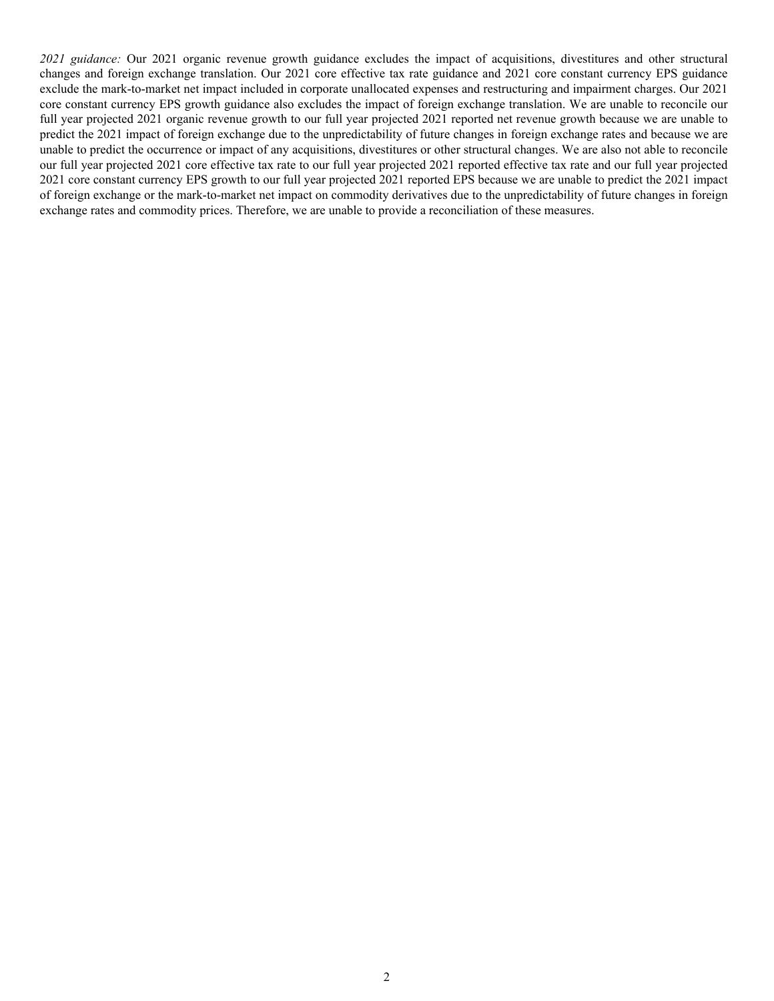*2021 guidance:* Our 2021 organic revenue growth guidance excludes the impact of acquisitions, divestitures and other structural changes and foreign exchange translation. Our 2021 core effective tax rate guidance and 2021 core constant currency EPS guidance exclude the mark-to-market net impact included in corporate unallocated expenses and restructuring and impairment charges. Our 2021 core constant currency EPS growth guidance also excludes the impact of foreign exchange translation. We are unable to reconcile our full year projected 2021 organic revenue growth to our full year projected 2021 reported net revenue growth because we are unable to predict the 2021 impact of foreign exchange due to the unpredictability of future changes in foreign exchange rates and because we are unable to predict the occurrence or impact of any acquisitions, divestitures or other structural changes. We are also not able to reconcile our full year projected 2021 core effective tax rate to our full year projected 2021 reported effective tax rate and our full year projected 2021 core constant currency EPS growth to our full year projected 2021 reported EPS because we are unable to predict the 2021 impact of foreign exchange or the mark-to-market net impact on commodity derivatives due to the unpredictability of future changes in foreign exchange rates and commodity prices. Therefore, we are unable to provide a reconciliation of these measures.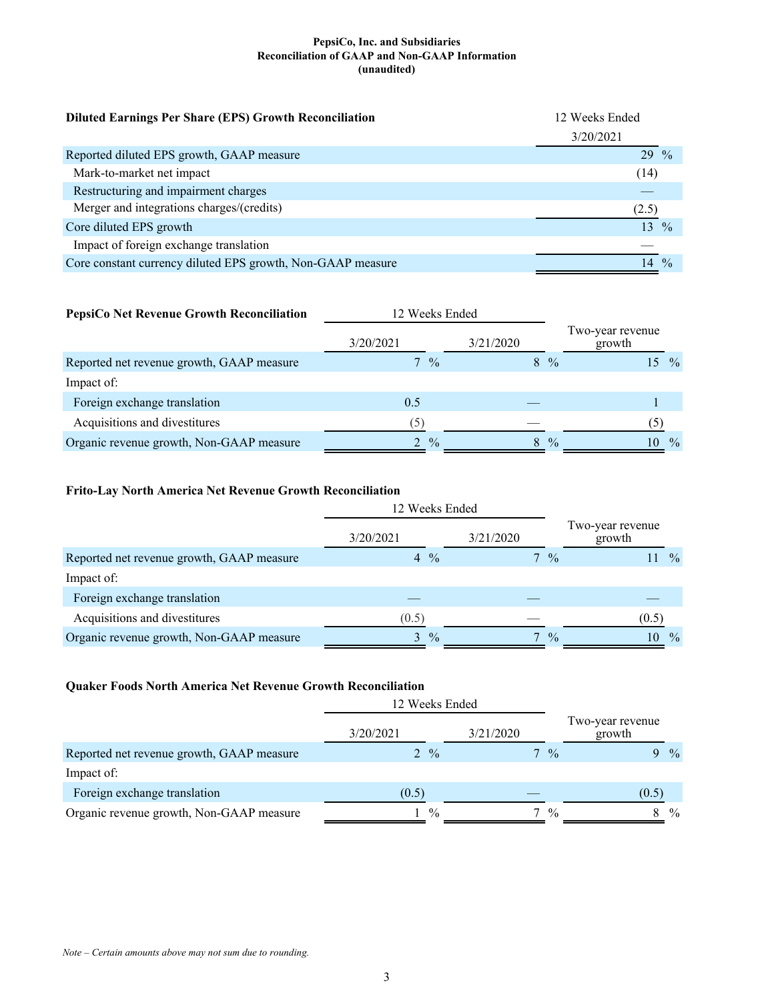#### **PepsiCo, Inc. and Subsidiaries Reconciliation of GAAP and Non-GAAP Information (unaudited)**

| <b>Diluted Earnings Per Share (EPS) Growth Reconciliation</b> | 12 Weeks Ended      |  |
|---------------------------------------------------------------|---------------------|--|
|                                                               | 3/20/2021           |  |
| Reported diluted EPS growth, GAAP measure                     | $29\frac{9}{6}$     |  |
| Mark-to-market net impact                                     | (14)                |  |
| Restructuring and impairment charges                          |                     |  |
| Merger and integrations charges/(credits)                     | (2.5)               |  |
| Core diluted EPS growth                                       | 13<br>$\frac{0}{0}$ |  |
| Impact of foreign exchange translation                        |                     |  |
| Core constant currency diluted EPS growth, Non-GAAP measure   | $\frac{0}{0}$<br>14 |  |

# **PepsiCo Net Revenue Growth Reconciliation** 12 Weeks Ended

|                                           | 3/20/2021      | 3/21/2020           | Two-year revenue<br>growth |
|-------------------------------------------|----------------|---------------------|----------------------------|
| Reported net revenue growth, GAAP measure | $7\frac{9}{6}$ | $8\frac{6}{6}$      | $\%$                       |
| Impact of:                                |                |                     |                            |
| Foreign exchange translation              | 0.5            |                     |                            |
| Acquisitions and divestitures             | (5)            |                     |                            |
| Organic revenue growth, Non-GAAP measure  | $\frac{0}{0}$  | $\frac{0}{0}$<br>8. | $\frac{0}{0}$<br>10        |

## **Frito-Lay North America Net Revenue Growth Reconciliation**

|                                           | 12 Weeks Ended                  |           |                |                            |               |
|-------------------------------------------|---------------------------------|-----------|----------------|----------------------------|---------------|
|                                           | 3/20/2021                       | 3/21/2020 |                | Two-year revenue<br>growth |               |
| Reported net revenue growth, GAAP measure | $\frac{0}{0}$<br>$\overline{4}$ |           | $7\frac{9}{6}$ |                            | $\frac{0}{0}$ |
| Impact of:                                |                                 |           |                |                            |               |
| Foreign exchange translation              |                                 |           |                |                            |               |
| Acquisitions and divestitures             | (0.5)                           |           |                | (0.5)                      |               |
| Organic revenue growth, Non-GAAP measure  | $\frac{0}{0}$<br>$\mathcal{F}$  | $\tau$    | $\frac{0}{0}$  | 10                         | $\frac{0}{0}$ |

## **Quaker Foods North America Net Revenue Growth Reconciliation**

|                                           | 12 Weeks Ended  |                    |                            |
|-------------------------------------------|-----------------|--------------------|----------------------------|
|                                           | 3/20/2021       | 3/21/2020          | Two-year revenue<br>growth |
| Reported net revenue growth, GAAP measure | $2 \frac{9}{6}$ | $7\frac{9}{6}$     | $\frac{0}{0}$              |
| Impact of:                                |                 |                    |                            |
| Foreign exchange translation              | (0.5)           |                    | (0.5)                      |
| Organic revenue growth, Non-GAAP measure  | $\frac{0}{0}$   | $\frac{0}{0}$<br>┑ | $\frac{0}{0}$<br>8         |

*Note – Certain amounts above may not sum due to rounding.*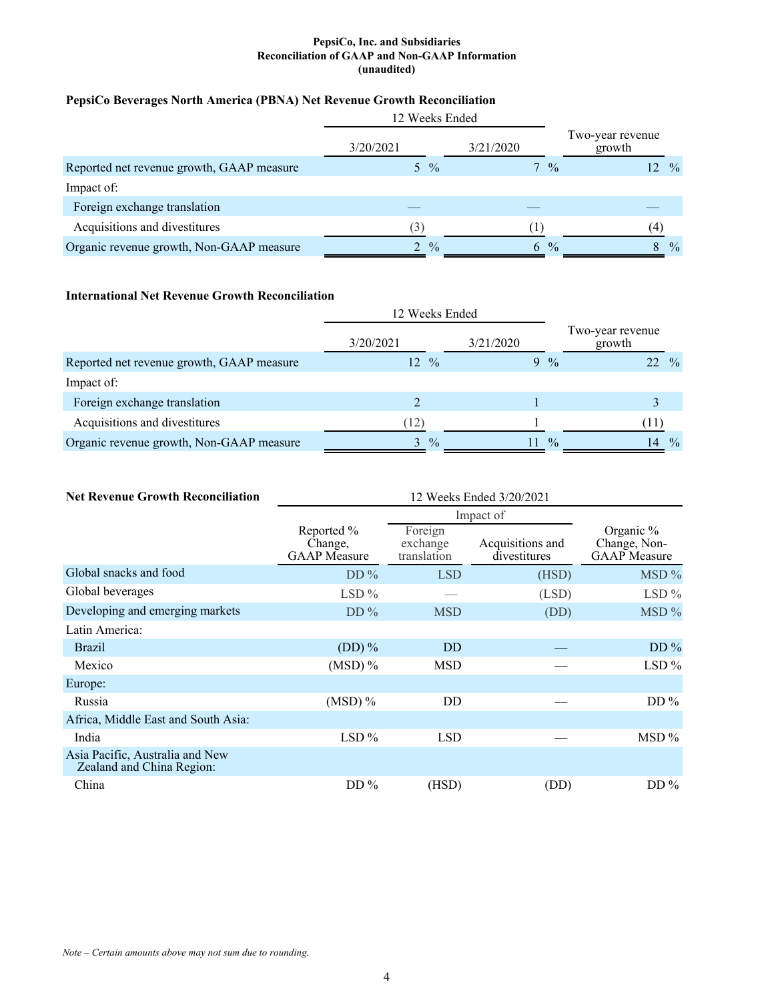#### **PepsiCo, Inc. and Subsidiaries Reconciliation of GAAP and Non-GAAP Information (unaudited)**

## **PepsiCo Beverages North America (PBNA) Net Revenue Growth Reconciliation**

|                                           | 12 Weeks Ended |                    |                            |
|-------------------------------------------|----------------|--------------------|----------------------------|
|                                           | 3/20/2021      | 3/21/2020          | Two-year revenue<br>growth |
| Reported net revenue growth, GAAP measure | 5 %            | $7\frac{9}{6}$     | $\frac{0}{0}$<br>12        |
| Impact of:                                |                |                    |                            |
| Foreign exchange translation              |                |                    |                            |
| Acquisitions and divestitures             | (3)            |                    | $\overline{4}$             |
| Organic revenue growth, Non-GAAP measure  | $\frac{0}{0}$  | $\frac{0}{0}$<br>6 | $\%$                       |

## **International Net Revenue Growth Reconciliation**

|                                           | 12 Weeks Ended      |           |                                      |
|-------------------------------------------|---------------------|-----------|--------------------------------------|
|                                           | 3/20/2021           | 3/21/2020 | Two-year revenue<br>growth           |
| Reported net revenue growth, GAAP measure | $12 \frac{9}{6}$    | $9\%$     | $\frac{0}{0}$<br>22                  |
| Impact of:                                |                     |           |                                      |
| Foreign exchange translation              |                     |           |                                      |
| Acquisitions and divestitures             | (12)                |           | $\perp$                              |
| Organic revenue growth, Non-GAAP measure  | $\frac{0}{0}$<br>3. |           | $\frac{0}{0}$<br>$\frac{0}{0}$<br>14 |

| <b>Net Revenue Growth Reconciliation</b>                     | 12 Weeks Ended 3/20/2021                     |                                    |                                  |                                                  |  |
|--------------------------------------------------------------|----------------------------------------------|------------------------------------|----------------------------------|--------------------------------------------------|--|
|                                                              | Impact of                                    |                                    |                                  |                                                  |  |
|                                                              | Reported %<br>Change,<br><b>GAAP</b> Measure | Foreign<br>exchange<br>translation | Acquisitions and<br>divestitures | Organic %<br>Change, Non-<br><b>GAAP</b> Measure |  |
| Global snacks and food                                       | $DD\%$                                       | <b>LSD</b>                         | (HSD)                            | MSD %                                            |  |
| Global beverages                                             | $LSD\%$                                      |                                    | (LSD)                            | LSD $%$                                          |  |
| Developing and emerging markets                              | $DD\%$                                       | <b>MSD</b>                         | (DD)                             | $\overline{MSD}$ %                               |  |
| Latin America:                                               |                                              |                                    |                                  |                                                  |  |
| <b>Brazil</b>                                                | $(DD)$ %                                     | <b>DD</b>                          |                                  | $DD\%$                                           |  |
| Mexico                                                       | $(MSD)$ %                                    | <b>MSD</b>                         |                                  | $LSD\%$                                          |  |
| Europe:                                                      |                                              |                                    |                                  |                                                  |  |
| Russia                                                       | $(MSD)$ %                                    | DD                                 |                                  | $DD\%$                                           |  |
| Africa, Middle East and South Asia:                          |                                              |                                    |                                  |                                                  |  |
| India                                                        | $LSD\%$                                      | <b>LSD</b>                         |                                  | $\overline{MSD\%}$                               |  |
| Asia Pacific, Australia and New<br>Zealand and China Region: |                                              |                                    |                                  |                                                  |  |
| China                                                        | $DD\%$                                       | (HSD)                              | (DD)                             | $DD\%$                                           |  |

*Note – Certain amounts above may not sum due to rounding.*